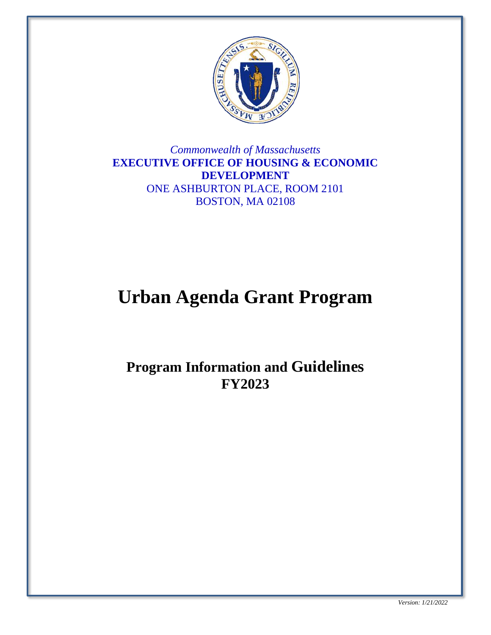

*Commonwealth of Massachusetts* **EXECUTIVE OFFICE OF HOUSING & ECONOMIC DEVELOPMENT** ONE ASHBURTON PLACE, ROOM 2101 BOSTON, MA 02108

# **Urban Agenda Grant Program**

# **Program Information and Guidelines FY2023**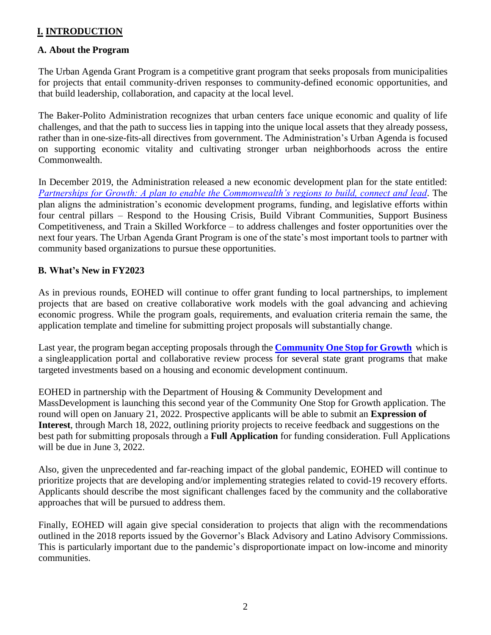#### **I. INTRODUCTION**

#### **A. About the Program**

The Urban Agenda Grant Program is a competitive grant program that seeks proposals from municipalities for projects that entail community-driven responses to community-defined economic opportunities, and that build leadership, collaboration, and capacity at the local level.

The Baker-Polito Administration recognizes that urban centers face unique economic and quality of life challenges, and that the path to success lies in tapping into the unique local assets that they already possess, rather than in one-size-fits-all directives from government. The Administration's Urban Agenda is focused on supporting economic vitality and cultivating stronger urban neighborhoods across the entire Commonwealth.

In December 2019, the Administration released a new economic development plan for the state entitled: *[Partnerships for Growth: A plan to enable the Commonwealth's regions to build, connect and lead.](https://www.mass.gov/info-details/partnerships-for-growth)* The plan aligns the administration's economic development programs, funding, and legislative efforts within four central pillars – Respond to the Housing Crisis, Build Vibrant Communities, Support Business Competitiveness, and Train a Skilled Workforce – to address challenges and foster opportunities over the next four years. The Urban Agenda Grant Program is one of the state's most important tools to partner with community based organizations to pursue these opportunities.

#### **B. What's New in FY2023**

As in previous rounds, EOHED will continue to offer grant funding to local partnerships, to implement projects that are based on creative collaborative work models with the goal advancing and achieving economic progress. While the program goals, requirements, and evaluation criteria remain the same, the application template and timeline for submitting project proposals will substantially change.

Last year, the program began accepting proposals through the **[Community](http://www.mass.gov/onestop) One Stop for Growth** which is a singleapplication portal and collaborative review process for several state grant programs that make targeted investments based on a housing and economic development continuum.

EOHED in partnership with the Department of Housing & Community Development and MassDevelopment is launching this second year of the Community One Stop for Growth application. The round will open on January 21, 2022. Prospective applicants will be able to submit an **Expression of Interest**, through March 18, 2022, outlining priority projects to receive feedback and suggestions on the best path for submitting proposals through a **Full Application** for funding consideration. Full Applications will be due in June 3, 2022.

Also, given the unprecedented and far-reaching impact of the global pandemic, EOHED will continue to prioritize projects that are developing and/or implementing strategies related to covid-19 recovery efforts. Applicants should describe the most significant challenges faced by the community and the collaborative approaches that will be pursued to address them.

Finally, EOHED will again give special consideration to projects that align with the recommendations outlined in the 2018 reports issued by the Governor's Black Advisory and Latino Advisory Commissions. This is particularly important due to the pandemic's disproportionate impact on low-income and minority communities.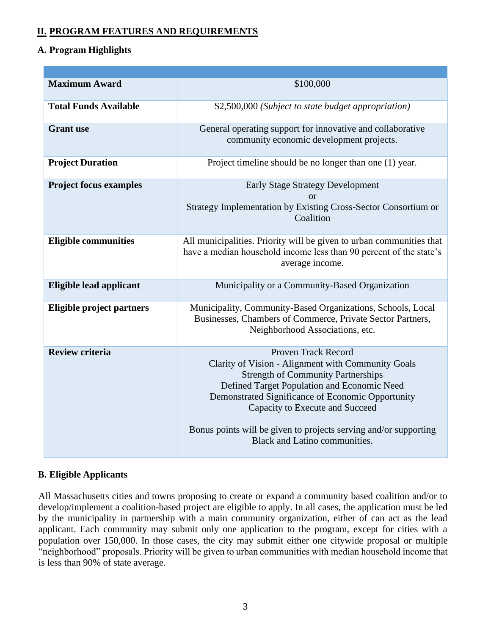### **II. PROGRAM FEATURES AND REQUIREMENTS**

#### **A. Program Highlights**

| <b>Maximum Award</b>           | \$100,000                                                                                                                                                                                                                                                                                                                                                                        |
|--------------------------------|----------------------------------------------------------------------------------------------------------------------------------------------------------------------------------------------------------------------------------------------------------------------------------------------------------------------------------------------------------------------------------|
| <b>Total Funds Available</b>   | \$2,500,000 (Subject to state budget appropriation)                                                                                                                                                                                                                                                                                                                              |
| <b>Grant</b> use               | General operating support for innovative and collaborative<br>community economic development projects.                                                                                                                                                                                                                                                                           |
| <b>Project Duration</b>        | Project timeline should be no longer than one (1) year.                                                                                                                                                                                                                                                                                                                          |
| <b>Project focus examples</b>  | <b>Early Stage Strategy Development</b><br>or<br>Strategy Implementation by Existing Cross-Sector Consortium or<br>Coalition                                                                                                                                                                                                                                                     |
| <b>Eligible communities</b>    | All municipalities. Priority will be given to urban communities that<br>have a median household income less than 90 percent of the state's<br>average income.                                                                                                                                                                                                                    |
| <b>Eligible lead applicant</b> | Municipality or a Community-Based Organization                                                                                                                                                                                                                                                                                                                                   |
| Eligible project partners      | Municipality, Community-Based Organizations, Schools, Local<br>Businesses, Chambers of Commerce, Private Sector Partners,<br>Neighborhood Associations, etc.                                                                                                                                                                                                                     |
| <b>Review criteria</b>         | <b>Proven Track Record</b><br>Clarity of Vision - Alignment with Community Goals<br><b>Strength of Community Partnerships</b><br>Defined Target Population and Economic Need<br>Demonstrated Significance of Economic Opportunity<br>Capacity to Execute and Succeed<br>Bonus points will be given to projects serving and/or supporting<br><b>Black and Latino communities.</b> |

#### **B. Eligible Applicants**

All Massachusetts cities and towns proposing to create or expand a community based coalition and/or to develop/implement a coalition-based project are eligible to apply. In all cases, the application must be led by the municipality in partnership with a main community organization, either of can act as the lead applicant. Each community may submit only one application to the program, except for cities with a population over 150,000. In those cases, the city may submit either one citywide proposal or multiple "neighborhood" proposals. Priority will be given to urban communities with median household income that is less than 90% of state average.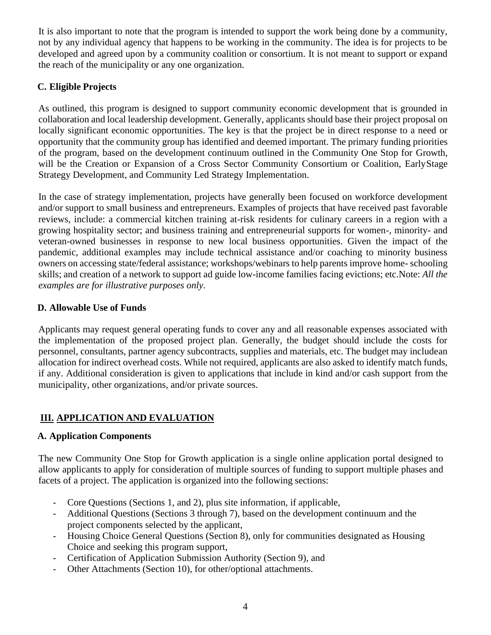It is also important to note that the program is intended to support the work being done by a community, not by any individual agency that happens to be working in the community. The idea is for projects to be developed and agreed upon by a community coalition or consortium. It is not meant to support or expand the reach of the municipality or any one organization.

#### **C. Eligible Projects**

As outlined, this program is designed to support community economic development that is grounded in collaboration and local leadership development. Generally, applicants should base their project proposal on locally significant economic opportunities. The key is that the project be in direct response to a need or opportunity that the community group has identified and deemed important. The primary funding priorities of the program, based on the development continuum outlined in the Community One Stop for Growth, will be the Creation or Expansion of a Cross Sector Community Consortium or Coalition, EarlyStage Strategy Development, and Community Led Strategy Implementation.

In the case of strategy implementation, projects have generally been focused on workforce development and/or support to small business and entrepreneurs. Examples of projects that have received past favorable reviews, include: a commercial kitchen training at-risk residents for culinary careers in a region with a growing hospitality sector; and business training and entrepreneurial supports for women-, minority- and veteran-owned businesses in response to new local business opportunities. Given the impact of the pandemic, additional examples may include technical assistance and/or coaching to minority business owners on accessing state/federal assistance; workshops/webinars to help parents improve home- schooling skills; and creation of a network to support ad guide low-income families facing evictions; etc.Note: *All the examples are for illustrative purposes only*.

#### **D. Allowable Use of Funds**

Applicants may request general operating funds to cover any and all reasonable expenses associated with the implementation of the proposed project plan. Generally, the budget should include the costs for personnel, consultants, partner agency subcontracts, supplies and materials, etc. The budget may includean allocation for indirect overhead costs. While not required, applicants are also asked to identify match funds, if any. Additional consideration is given to applications that include in kind and/or cash support from the municipality, other organizations, and/or private sources.

#### **III. APPLICATION AND EVALUATION**

#### **A. Application Components**

The new Community One Stop for Growth application is a single online application portal designed to allow applicants to apply for consideration of multiple sources of funding to support multiple phases and facets of a project. The application is organized into the following sections:

- Core Questions (Sections 1, and 2), plus site information, if applicable,
- Additional Questions (Sections 3 through 7), based on the development continuum and the project components selected by the applicant,
- Housing Choice General Questions (Section 8), only for communities designated as Housing Choice and seeking this program support,
- Certification of Application Submission Authority (Section 9), and
- Other Attachments (Section 10), for other/optional attachments.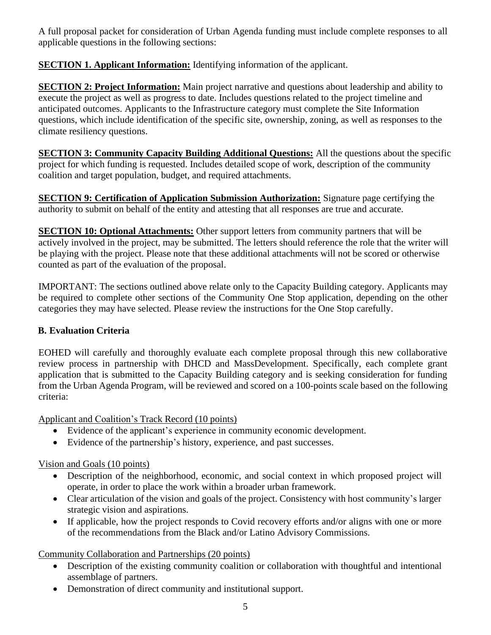A full proposal packet for consideration of Urban Agenda funding must include complete responses to all applicable questions in the following sections:

**SECTION 1. Applicant Information:** Identifying information of the applicant.

**SECTION 2: Project Information:** Main project narrative and questions about leadership and ability to execute the project as well as progress to date. Includes questions related to the project timeline and anticipated outcomes. Applicants to the Infrastructure category must complete the Site Information questions, which include identification of the specific site, ownership, zoning, as well as responses to the climate resiliency questions.

**SECTION 3: Community Capacity Building Additional Questions:** All the questions about the specific project for which funding is requested. Includes detailed scope of work, description of the community coalition and target population, budget, and required attachments.

**SECTION 9: Certification of Application Submission Authorization:** Signature page certifying the authority to submit on behalf of the entity and attesting that all responses are true and accurate.

**SECTION 10: Optional Attachments:** Other support letters from community partners that will be actively involved in the project, may be submitted. The letters should reference the role that the writer will be playing with the project. Please note that these additional attachments will not be scored or otherwise counted as part of the evaluation of the proposal.

IMPORTANT: The sections outlined above relate only to the Capacity Building category. Applicants may be required to complete other sections of the Community One Stop application, depending on the other categories they may have selected. Please review the instructions for the One Stop carefully.

# **B. Evaluation Criteria**

EOHED will carefully and thoroughly evaluate each complete proposal through this new collaborative review process in partnership with DHCD and MassDevelopment. Specifically, each complete grant application that is submitted to the Capacity Building category and is seeking consideration for funding from the Urban Agenda Program, will be reviewed and scored on a 100-points scale based on the following criteria:

Applicant and Coalition's Track Record (10 points)

- Evidence of the applicant's experience in community economic development.
- Evidence of the partnership's history, experience, and past successes.

# Vision and Goals (10 points)

- Description of the neighborhood, economic, and social context in which proposed project will operate, in order to place the work within a broader urban framework.
- Clear articulation of the vision and goals of the project. Consistency with host community's larger strategic vision and aspirations.
- If applicable, how the project responds to Covid recovery efforts and/or aligns with one or more of the recommendations from the Black and/or Latino Advisory Commissions.

Community Collaboration and Partnerships (20 points)

- Description of the existing community coalition or collaboration with thoughtful and intentional assemblage of partners.
- Demonstration of direct community and institutional support.